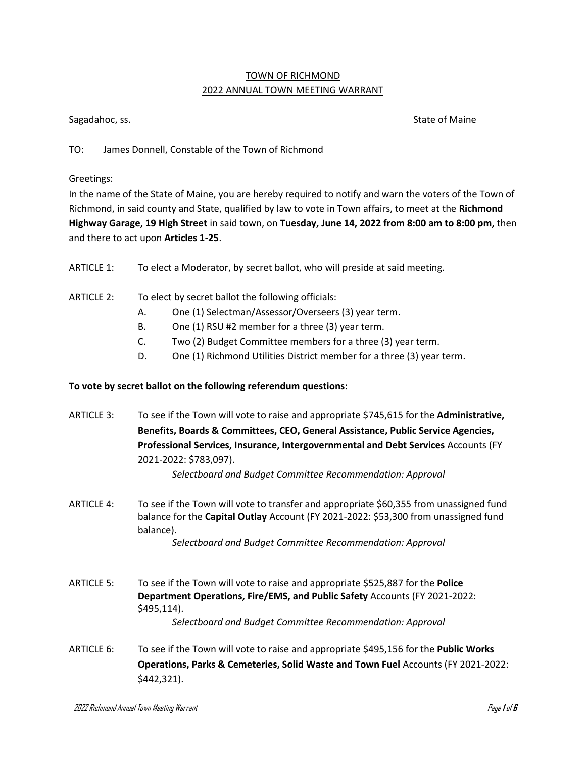## TOWN OF RICHMOND 2022 ANNUAL TOWN MEETING WARRANT

Sagadahoc, ss. Sagadahoc, ss. Sagadahoc, ss. State of Maine and State of Maine and State of Maine and State of Maine

TO: James Donnell, Constable of the Town of Richmond

Greetings:

In the name of the State of Maine, you are hereby required to notify and warn the voters of the Town of Richmond, in said county and State, qualified by law to vote in Town affairs, to meet at the **Richmond Highway Garage, 19 High Street** in said town, on **Tuesday, June 14, 2022 from 8:00 am to 8:00 pm,** then and there to act upon **Articles 1-25**.

- ARTICLE 1: To elect a Moderator, by secret ballot, who will preside at said meeting.
- ARTICLE 2: To elect by secret ballot the following officials:
	- A. One (1) Selectman/Assessor/Overseers (3) year term.
	- B. One (1) RSU #2 member for a three (3) year term.
	- C. Two (2) Budget Committee members for a three (3) year term.
	- D. One (1) Richmond Utilities District member for a three (3) year term.

## **To vote by secret ballot on the following referendum questions:**

ARTICLE 3: To see if the Town will vote to raise and appropriate \$745,615 for the **Administrative, Benefits, Boards & Committees, CEO, General Assistance, Public Service Agencies, Professional Services, Insurance, Intergovernmental and Debt Services** Accounts (FY 2021-2022: \$783,097).

*Selectboard and Budget Committee Recommendation: Approval* 

ARTICLE 4: To see if the Town will vote to transfer and appropriate \$60,355 from unassigned fund balance for the **Capital Outlay** Account (FY 2021-2022: \$53,300 from unassigned fund balance).

*Selectboard and Budget Committee Recommendation: Approval* 

ARTICLE 5: To see if the Town will vote to raise and appropriate \$525,887 for the **Police Department Operations, Fire/EMS, and Public Safety** Accounts (FY 2021-2022: \$495,114).

*Selectboard and Budget Committee Recommendation: Approval*

ARTICLE 6: To see if the Town will vote to raise and appropriate \$495,156 for the **Public Works Operations, Parks & Cemeteries, Solid Waste and Town Fuel** Accounts (FY 2021-2022: \$442,321).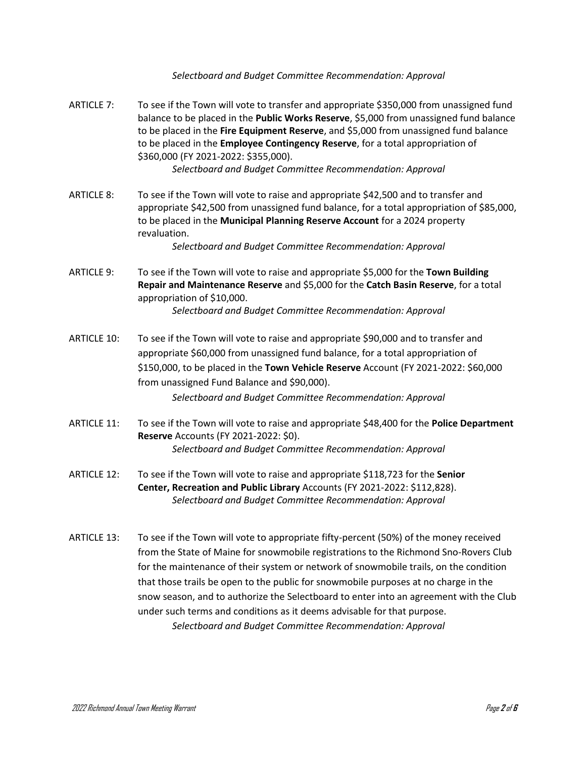*Selectboard and Budget Committee Recommendation: Approval*

ARTICLE 7: To see if the Town will vote to transfer and appropriate \$350,000 from unassigned fund balance to be placed in the **Public Works Reserve**, \$5,000 from unassigned fund balance to be placed in the **Fire Equipment Reserve**, and \$5,000 from unassigned fund balance to be placed in the **Employee Contingency Reserve**, for a total appropriation of \$360,000 (FY 2021-2022: \$355,000).

*Selectboard and Budget Committee Recommendation: Approval*

ARTICLE 8: To see if the Town will vote to raise and appropriate \$42,500 and to transfer and appropriate \$42,500 from unassigned fund balance, for a total appropriation of \$85,000, to be placed in the **Municipal Planning Reserve Account** for a 2024 property revaluation.

*Selectboard and Budget Committee Recommendation: Approval*

- ARTICLE 9: To see if the Town will vote to raise and appropriate \$5,000 for the **Town Building Repair and Maintenance Reserve** and \$5,000 for the **Catch Basin Reserve**, for a total appropriation of \$10,000. *Selectboard and Budget Committee Recommendation: Approval*
- ARTICLE 10: To see if the Town will vote to raise and appropriate \$90,000 and to transfer and appropriate \$60,000 from unassigned fund balance, for a total appropriation of \$150,000, to be placed in the **Town Vehicle Reserve** Account (FY 2021-2022: \$60,000 from unassigned Fund Balance and \$90,000). *Selectboard and Budget Committee Recommendation: Approval*
- ARTICLE 11: To see if the Town will vote to raise and appropriate \$48,400 for the **Police Department Reserve** Accounts (FY 2021-2022: \$0). *Selectboard and Budget Committee Recommendation: Approval*
- ARTICLE 12: To see if the Town will vote to raise and appropriate \$118,723 for the **Senior Center, Recreation and Public Library** Accounts (FY 2021-2022: \$112,828). *Selectboard and Budget Committee Recommendation: Approval*
- ARTICLE 13: To see if the Town will vote to appropriate fifty-percent (50%) of the money received from the State of Maine for snowmobile registrations to the Richmond Sno-Rovers Club for the maintenance of their system or network of snowmobile trails, on the condition that those trails be open to the public for snowmobile purposes at no charge in the snow season, and to authorize the Selectboard to enter into an agreement with the Club under such terms and conditions as it deems advisable for that purpose. *Selectboard and Budget Committee Recommendation: Approval*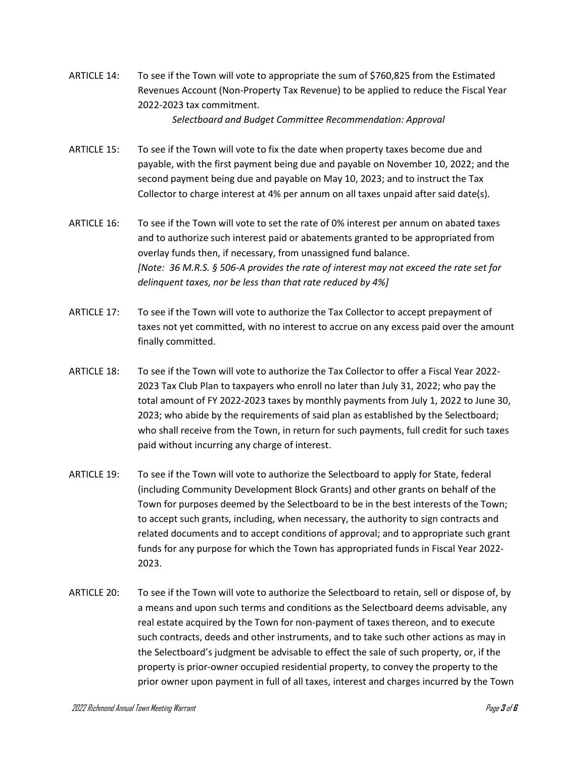ARTICLE 14: To see if the Town will vote to appropriate the sum of \$760,825 from the Estimated Revenues Account (Non-Property Tax Revenue) to be applied to reduce the Fiscal Year 2022-2023 tax commitment.

*Selectboard and Budget Committee Recommendation: Approval*

- ARTICLE 15: To see if the Town will vote to fix the date when property taxes become due and payable, with the first payment being due and payable on November 10, 2022; and the second payment being due and payable on May 10, 2023; and to instruct the Tax Collector to charge interest at 4% per annum on all taxes unpaid after said date(s).
- ARTICLE 16: To see if the Town will vote to set the rate of 0% interest per annum on abated taxes and to authorize such interest paid or abatements granted to be appropriated from overlay funds then, if necessary, from unassigned fund balance. *[Note: 36 M.R.S. § 506-A provides the rate of interest may not exceed the rate set for delinquent taxes, nor be less than that rate reduced by 4%]*
- ARTICLE 17: To see if the Town will vote to authorize the Tax Collector to accept prepayment of taxes not yet committed, with no interest to accrue on any excess paid over the amount finally committed.
- ARTICLE 18: To see if the Town will vote to authorize the Tax Collector to offer a Fiscal Year 2022- 2023 Tax Club Plan to taxpayers who enroll no later than July 31, 2022; who pay the total amount of FY 2022-2023 taxes by monthly payments from July 1, 2022 to June 30, 2023; who abide by the requirements of said plan as established by the Selectboard; who shall receive from the Town, in return for such payments, full credit for such taxes paid without incurring any charge of interest.
- ARTICLE 19: To see if the Town will vote to authorize the Selectboard to apply for State, federal (including Community Development Block Grants) and other grants on behalf of the Town for purposes deemed by the Selectboard to be in the best interests of the Town; to accept such grants, including, when necessary, the authority to sign contracts and related documents and to accept conditions of approval; and to appropriate such grant funds for any purpose for which the Town has appropriated funds in Fiscal Year 2022- 2023.
- ARTICLE 20: To see if the Town will vote to authorize the Selectboard to retain, sell or dispose of, by a means and upon such terms and conditions as the Selectboard deems advisable, any real estate acquired by the Town for non-payment of taxes thereon, and to execute such contracts, deeds and other instruments, and to take such other actions as may in the Selectboard's judgment be advisable to effect the sale of such property, or, if the property is prior-owner occupied residential property, to convey the property to the prior owner upon payment in full of all taxes, interest and charges incurred by the Town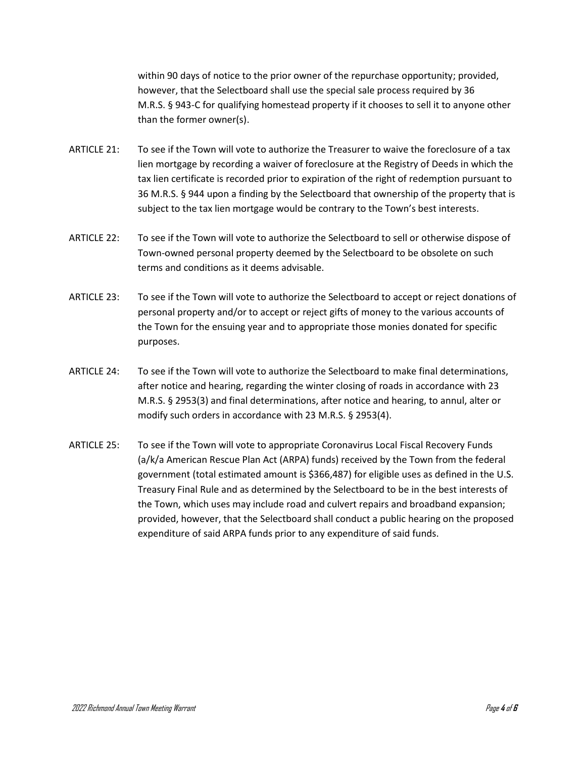within 90 days of notice to the prior owner of the repurchase opportunity; provided, however, that the Selectboard shall use the special sale process required by 36 M.R.S. § 943-C for qualifying homestead property if it chooses to sell it to anyone other than the former owner(s).

- ARTICLE 21: To see if the Town will vote to authorize the Treasurer to waive the foreclosure of a tax lien mortgage by recording a waiver of foreclosure at the Registry of Deeds in which the tax lien certificate is recorded prior to expiration of the right of redemption pursuant to 36 M.R.S. § 944 upon a finding by the Selectboard that ownership of the property that is subject to the tax lien mortgage would be contrary to the Town's best interests.
- ARTICLE 22: To see if the Town will vote to authorize the Selectboard to sell or otherwise dispose of Town-owned personal property deemed by the Selectboard to be obsolete on such terms and conditions as it deems advisable.
- ARTICLE 23: To see if the Town will vote to authorize the Selectboard to accept or reject donations of personal property and/or to accept or reject gifts of money to the various accounts of the Town for the ensuing year and to appropriate those monies donated for specific purposes.
- ARTICLE 24: To see if the Town will vote to authorize the Selectboard to make final determinations, after notice and hearing, regarding the winter closing of roads in accordance with 23 M.R.S. § 2953(3) and final determinations, after notice and hearing, to annul, alter or modify such orders in accordance with 23 M.R.S. § 2953(4).
- ARTICLE 25: To see if the Town will vote to appropriate Coronavirus Local Fiscal Recovery Funds (a/k/a American Rescue Plan Act (ARPA) funds) received by the Town from the federal government (total estimated amount is \$366,487) for eligible uses as defined in the U.S. Treasury Final Rule and as determined by the Selectboard to be in the best interests of the Town, which uses may include road and culvert repairs and broadband expansion; provided, however, that the Selectboard shall conduct a public hearing on the proposed expenditure of said ARPA funds prior to any expenditure of said funds.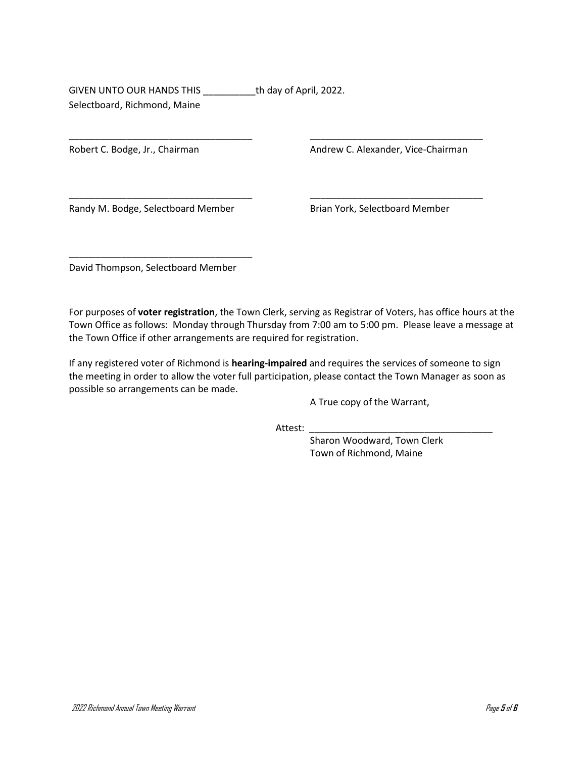GIVEN UNTO OUR HANDS THIS \_\_\_\_\_\_\_\_\_\_th day of April, 2022. Selectboard, Richmond, Maine

Robert C. Bodge, Jr., Chairman Andrew C. Alexander, Vice-Chairman Andrew C. Alexander, Vice-Chairman

Randy M. Bodge, Selectboard Member Brian York, Selectboard Member

David Thompson, Selectboard Member

\_\_\_\_\_\_\_\_\_\_\_\_\_\_\_\_\_\_\_\_\_\_\_\_\_\_\_\_\_\_\_\_\_\_\_

For purposes of **voter registration**, the Town Clerk, serving as Registrar of Voters, has office hours at the Town Office as follows: Monday through Thursday from 7:00 am to 5:00 pm. Please leave a message at the Town Office if other arrangements are required for registration.

\_\_\_\_\_\_\_\_\_\_\_\_\_\_\_\_\_\_\_\_\_\_\_\_\_\_\_\_\_\_\_\_\_\_\_ \_\_\_\_\_\_\_\_\_\_\_\_\_\_\_\_\_\_\_\_\_\_\_\_\_\_\_\_\_\_\_\_\_

\_\_\_\_\_\_\_\_\_\_\_\_\_\_\_\_\_\_\_\_\_\_\_\_\_\_\_\_\_\_\_\_\_\_\_ \_\_\_\_\_\_\_\_\_\_\_\_\_\_\_\_\_\_\_\_\_\_\_\_\_\_\_\_\_\_\_\_\_

If any registered voter of Richmond is **hearing-impaired** and requires the services of someone to sign the meeting in order to allow the voter full participation, please contact the Town Manager as soon as possible so arrangements can be made.

A True copy of the Warrant,

Attest: \_\_\_\_\_\_\_\_\_\_\_\_\_\_\_\_\_\_\_\_\_\_\_\_\_\_\_\_\_\_\_\_\_\_\_

Sharon Woodward, Town Clerk Town of Richmond, Maine